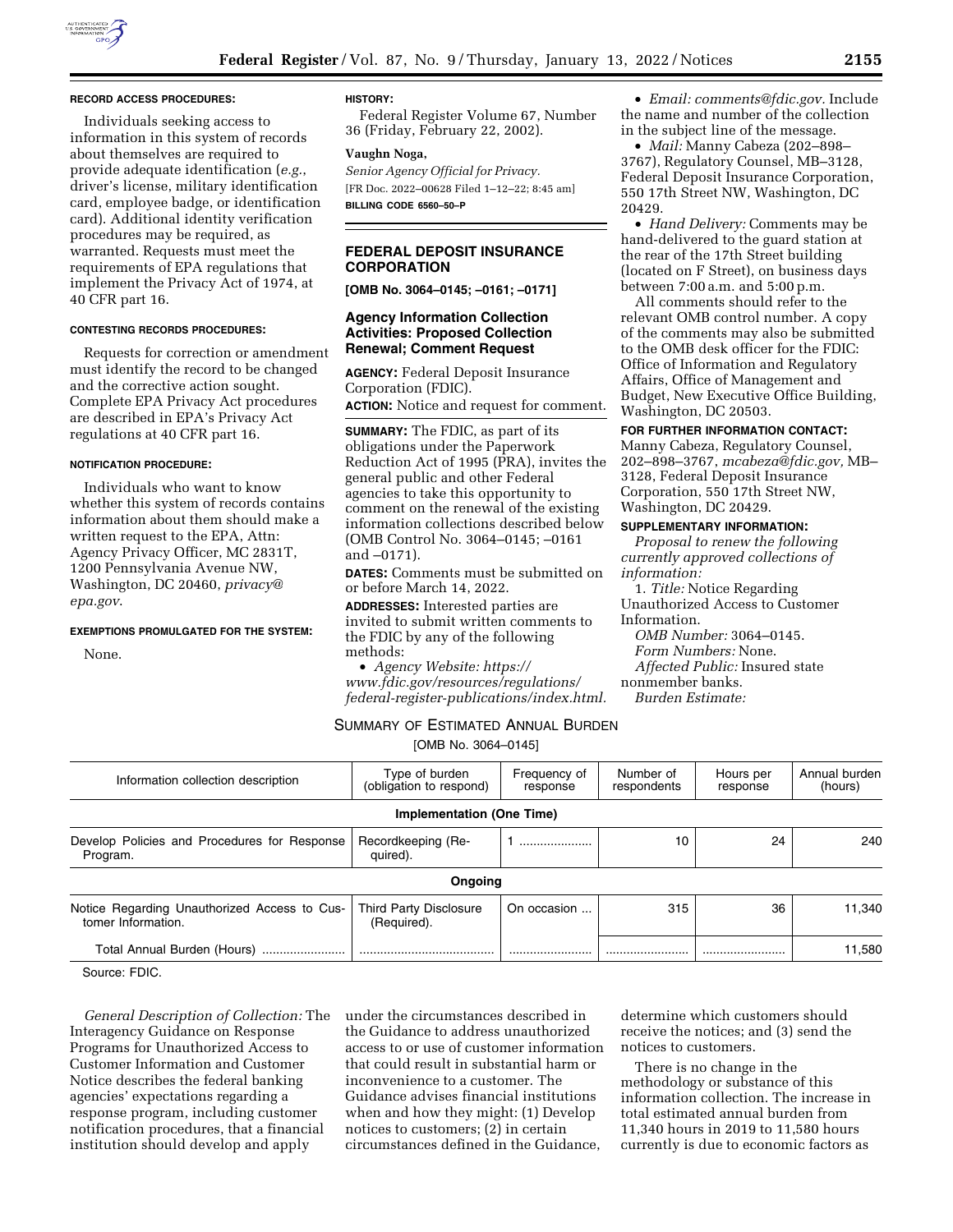

#### **RECORD ACCESS PROCEDURES:**

Individuals seeking access to information in this system of records about themselves are required to provide adequate identification (*e.g.*, driver's license, military identification card, employee badge, or identification card). Additional identity verification procedures may be required, as warranted. Requests must meet the requirements of EPA regulations that implement the Privacy Act of 1974, at 40 CFR part 16.

### **CONTESTING RECORDS PROCEDURES:**

Requests for correction or amendment must identify the record to be changed and the corrective action sought. Complete EPA Privacy Act procedures are described in EPA's Privacy Act regulations at 40 CFR part 16.

### **NOTIFICATION PROCEDURE:**

Individuals who want to know whether this system of records contains information about them should make a written request to the EPA, Attn: Agency Privacy Officer, MC 2831T, 1200 Pennsylvania Avenue NW, Washington, DC 20460, *[privacy@](mailto:privacy@epa.gov) [epa.gov](mailto:privacy@epa.gov)*.

#### **EXEMPTIONS PROMULGATED FOR THE SYSTEM:**

None.

## **HISTORY:**

Federal Register Volume 67, Number 36 (Friday, February 22, 2002).

#### **Vaughn Noga,**

*Senior Agency Official for Privacy.*  [FR Doc. 2022–00628 Filed 1–12–22; 8:45 am] **BILLING CODE 6560–50–P** 

# **FEDERAL DEPOSIT INSURANCE CORPORATION**

**[OMB No. 3064–0145; –0161; –0171]** 

# **Agency Information Collection Activities: Proposed Collection Renewal; Comment Request**

**AGENCY:** Federal Deposit Insurance Corporation (FDIC).

**ACTION:** Notice and request for comment.

**SUMMARY:** The FDIC, as part of its obligations under the Paperwork Reduction Act of 1995 (PRA), invites the general public and other Federal agencies to take this opportunity to comment on the renewal of the existing information collections described below (OMB Control No. 3064–0145; –0161 and –0171).

**DATES:** Comments must be submitted on or before March 14, 2022.

**ADDRESSES:** Interested parties are invited to submit written comments to the FDIC by any of the following methods:

• *Agency Website: [https://](https://www.fdic.gov/resources/regulations/federal-register-publications/index.html) www.fdic.gov/resources/regulations/ [federal-register-publications/index.html.](https://www.fdic.gov/resources/regulations/federal-register-publications/index.html)* 

• *Email: [comments@fdic.gov.](mailto:comments@fdic.gov)* Include the name and number of the collection in the subject line of the message.

• *Mail:* Manny Cabeza (202–898– 3767), Regulatory Counsel, MB–3128, Federal Deposit Insurance Corporation, 550 17th Street NW, Washington, DC 20429.

• *Hand Delivery:* Comments may be hand-delivered to the guard station at the rear of the 17th Street building (located on F Street), on business days between 7:00 a.m. and 5:00 p.m.

All comments should refer to the relevant OMB control number. A copy of the comments may also be submitted to the OMB desk officer for the FDIC: Office of Information and Regulatory Affairs, Office of Management and Budget, New Executive Office Building, Washington, DC 20503.

# **FOR FURTHER INFORMATION CONTACT:**

Manny Cabeza, Regulatory Counsel, 202–898–3767, *[mcabeza@fdic.gov,](mailto:mcabeza@fdic.gov)* MB– 3128, Federal Deposit Insurance Corporation, 550 17th Street NW, Washington, DC 20429.

# **SUPPLEMENTARY INFORMATION:**

*Proposal to renew the following currently approved collections of information:* 

1. *Title:* Notice Regarding Unauthorized Access to Customer Information.

*OMB Number:* 3064–0145. *Form Numbers:* None. *Affected Public:* Insured state nonmember banks. *Burden Estimate:* 

# SUMMARY OF ESTIMATED ANNUAL BURDEN

[OMB No. 3064–0145]

| Information collection description                                 | Type of burden<br>(obligation to respond)    | Frequency of<br>response | Number of<br>respondents | Hours per<br>response | Annual burden<br>(hours) |
|--------------------------------------------------------------------|----------------------------------------------|--------------------------|--------------------------|-----------------------|--------------------------|
|                                                                    | Implementation (One Time)                    |                          |                          |                       |                          |
| Develop Policies and Procedures for Response<br>Program.           | Recordkeeping (Re-<br>quired).               |                          | 10                       | 24                    | 240                      |
|                                                                    | Ongoing                                      |                          |                          |                       |                          |
| Notice Regarding Unauthorized Access to Cus-<br>tomer Information. | <b>Third Party Disclosure</b><br>(Required). | On occasion              | 315                      | 36                    | 11.340                   |
| Total Annual Burden (Hours)                                        |                                              |                          |                          |                       | 11,580                   |

Source: FDIC.

*General Description of Collection:* The Interagency Guidance on Response Programs for Unauthorized Access to Customer Information and Customer Notice describes the federal banking agencies' expectations regarding a response program, including customer notification procedures, that a financial institution should develop and apply

under the circumstances described in the Guidance to address unauthorized access to or use of customer information that could result in substantial harm or inconvenience to a customer. The Guidance advises financial institutions when and how they might: (1) Develop notices to customers; (2) in certain circumstances defined in the Guidance,

determine which customers should receive the notices; and (3) send the notices to customers.

There is no change in the methodology or substance of this information collection. The increase in total estimated annual burden from 11,340 hours in 2019 to 11,580 hours currently is due to economic factors as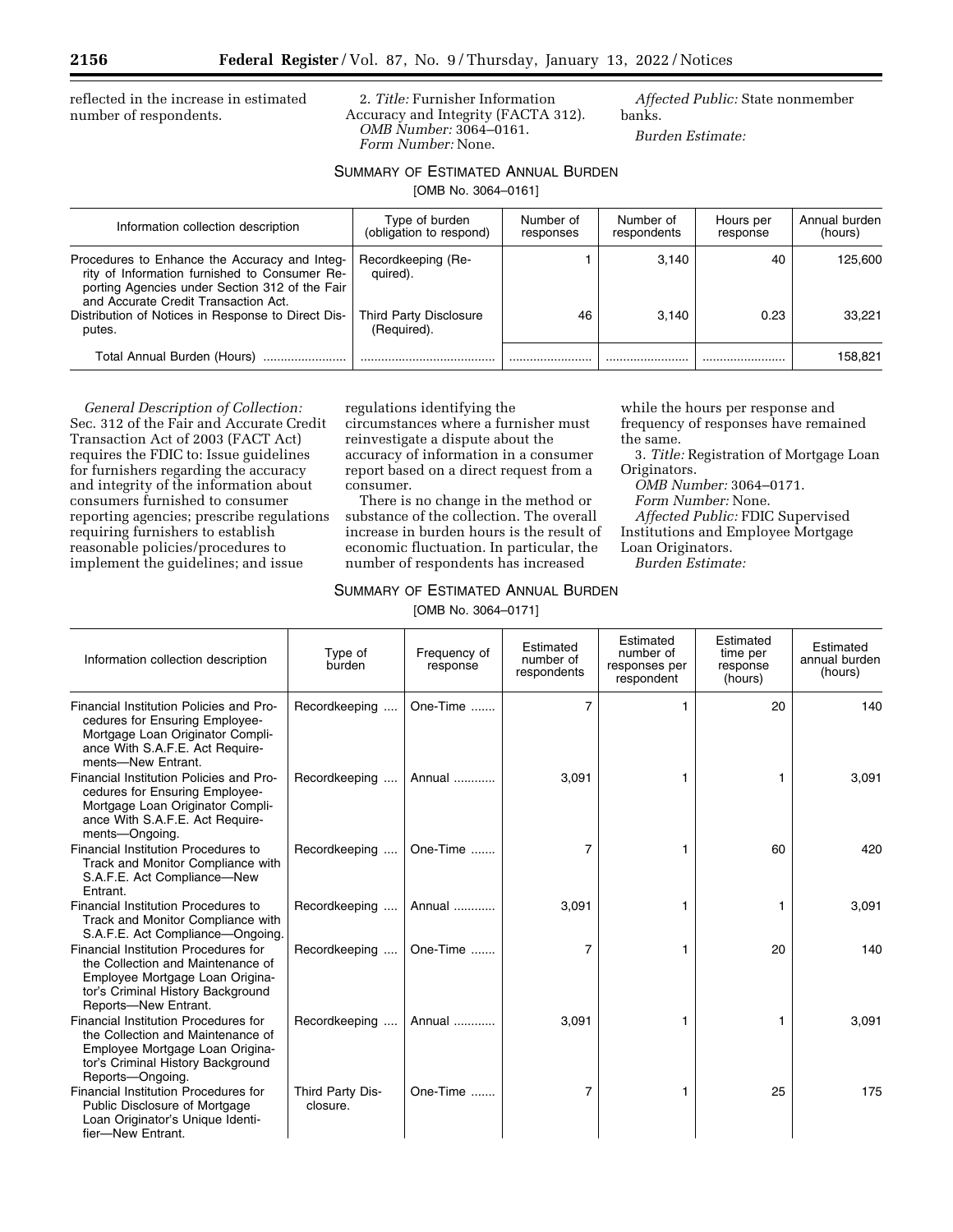reflected in the increase in estimated number of respondents.

2. *Title:* Furnisher Information Accuracy and Integrity (FACTA 312). *OMB Number:* 3064–0161. *Form Number:* None.

*Affected Public:* State nonmember banks.

*Burden Estimate:* 

# SUMMARY OF ESTIMATED ANNUAL BURDEN

[OMB No. 3064–0161]

| Information collection description                                                                                                                                                       | Type of burden<br>(obligation to respond) | Number of<br>responses | Number of<br>respondents | Hours per<br>response | Annual burden<br>(hours) |
|------------------------------------------------------------------------------------------------------------------------------------------------------------------------------------------|-------------------------------------------|------------------------|--------------------------|-----------------------|--------------------------|
| Procedures to Enhance the Accuracy and Integ-<br>rity of Information furnished to Consumer Re-<br>porting Agencies under Section 312 of the Fair<br>and Accurate Credit Transaction Act. | Recordkeeping (Re-<br>quired).            |                        | 3.140                    | 40                    | 125.600                  |
| Distribution of Notices in Response to Direct Dis-<br>putes.                                                                                                                             | Third Party Disclosure<br>(Required).     | 46                     | 3.140                    | 0.23                  | 33.221                   |
| Total Annual Burden (Hours)                                                                                                                                                              |                                           |                        |                          |                       | 158,821                  |

*General Description of Collection:*  Sec. 312 of the Fair and Accurate Credit Transaction Act of 2003 (FACT Act) requires the FDIC to: Issue guidelines for furnishers regarding the accuracy and integrity of the information about consumers furnished to consumer reporting agencies; prescribe regulations requiring furnishers to establish reasonable policies/procedures to implement the guidelines; and issue

regulations identifying the circumstances where a furnisher must reinvestigate a dispute about the accuracy of information in a consumer report based on a direct request from a consumer.

There is no change in the method or substance of the collection. The overall increase in burden hours is the result of economic fluctuation. In particular, the number of respondents has increased

# while the hours per response and frequency of responses have remained the same.

3. *Title:* Registration of Mortgage Loan Originators.

*OMB Number:* 3064–0171.

*Form Number:* None.

*Affected Public:* FDIC Supervised Institutions and Employee Mortgage Loan Originators.

*Burden Estimate:* 

# SUMMARY OF ESTIMATED ANNUAL BURDEN

[OMB No. 3064–0171]

| Information collection description                                                                                                                                        | Type of<br>burden            | Frequency of<br>response | Estimated<br>number of<br>respondents | Estimated<br>number of<br>responses per<br>respondent | Estimated<br>time per<br>response<br>(hours) | Estimated<br>annual burden<br>(hours) |
|---------------------------------------------------------------------------------------------------------------------------------------------------------------------------|------------------------------|--------------------------|---------------------------------------|-------------------------------------------------------|----------------------------------------------|---------------------------------------|
| Financial Institution Policies and Pro-<br>cedures for Ensuring Employee-<br>Mortgage Loan Originator Compli-<br>ance With S.A.F.E. Act Require-<br>ments-New Entrant.    | Recordkeeping                | One-Time                 | $\overline{7}$                        |                                                       | 20                                           | 140                                   |
| Financial Institution Policies and Pro-<br>cedures for Ensuring Employee-<br>Mortgage Loan Originator Compli-<br>ance With S.A.F.E. Act Require-<br>ments-Ongoing.        | Recordkeeping                | Annual                   | 3,091                                 |                                                       |                                              | 3,091                                 |
| Financial Institution Procedures to<br>Track and Monitor Compliance with<br>S.A.F.E. Act Compliance-New<br>Entrant.                                                       | Recordkeeping                | One-Time                 | 7                                     |                                                       | 60                                           | 420                                   |
| Financial Institution Procedures to<br>Track and Monitor Compliance with<br>S.A.F.E. Act Compliance—Ongoing.                                                              | Recordkeeping                | Annual                   | 3,091                                 |                                                       | 1                                            | 3,091                                 |
| Financial Institution Procedures for<br>the Collection and Maintenance of<br>Employee Mortgage Loan Origina-<br>tor's Criminal History Background<br>Reports-New Entrant. | Recordkeeping                | One-Time                 | 7                                     |                                                       | 20                                           | 140                                   |
| Financial Institution Procedures for<br>the Collection and Maintenance of<br>Employee Mortgage Loan Origina-<br>tor's Criminal History Background<br>Reports-Ongoing.     | Recordkeeping                | Annual                   | 3,091                                 |                                                       | 1                                            | 3,091                                 |
| Financial Institution Procedures for<br>Public Disclosure of Mortgage<br>Loan Originator's Unique Identi-<br>fier-New Entrant.                                            | Third Party Dis-<br>closure. | One-Time                 | 7                                     |                                                       | 25                                           | 175                                   |